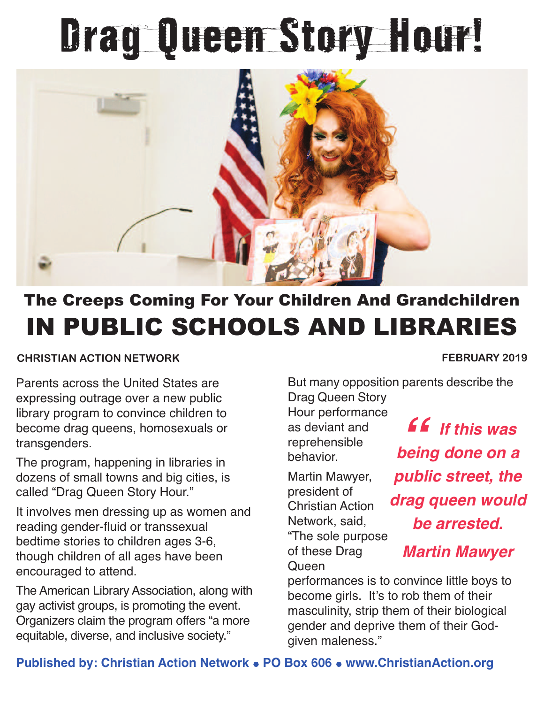## Drag Queen Story Hour!



## The Creeps Coming For Your Children And Grandchildren IN PUBLIC SCHOOLS AND LIBRARIES

## **CHRISTIAN ACTION NETWORK FEBRUARY 2019**

Parents across the United States are expressing outrage over a new public library program to convince children to become drag queens, homosexuals or transgenders.

The program, happening in libraries in dozens of small towns and big cities, is called "Drag Queen Story Hour."

It involves men dressing up as women and reading gender-fluid or transsexual bedtime stories to children ages 3-6, though children of all ages have been encouraged to attend.

The American Library Association, along with gay activist groups, is promoting the event. Organizers claim the program offers "a more equitable, diverse, and inclusive society."

But many opposition parents describe the Drag Queen Story

Hour performance as deviant and reprehensible behavior.

Martin Mawyer, president of Christian Action Network, said, "The sole purpose of these Drag **Queen** 

*" If this was being done on a public street, the drag queen would be arrested. Martin Mawyer*

performances is to convince little boys to become girls. It's to rob them of their masculinity, strip them of their biological gender and deprive them of their Godgiven maleness."

## **Published by: Christian Action Network . PO Box 606 . www.ChristianAction.org**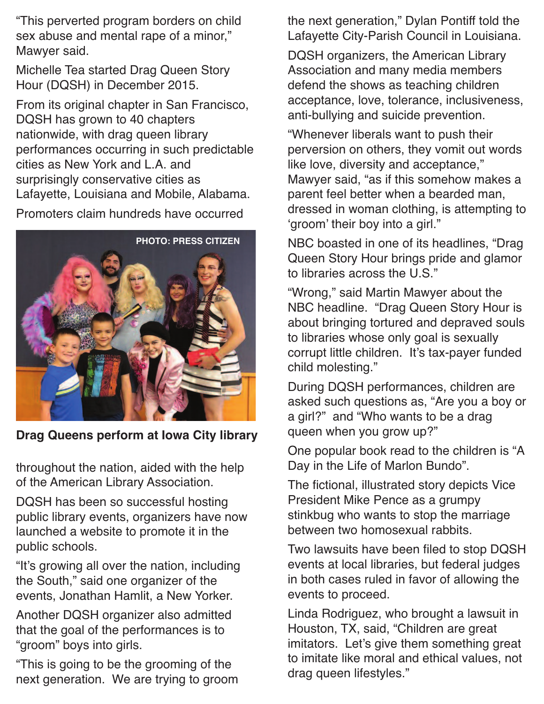"This perverted program borders on child sex abuse and mental rape of a minor," Mawyer said.

Michelle Tea started Drag Queen Story Hour (DQSH) in December 2015.

From its original chapter in San Francisco, DQSH has grown to 40 chapters nationwide, with drag queen library performances occurring in such predictable cities as New York and L.A. and surprisingly conservative cities as Lafayette, Louisiana and Mobile, Alabama.

Promoters claim hundreds have occurred



**Drag Queens perform at Iowa City library**

throughout the nation, aided with the help of the American Library Association.

DQSH has been so successful hosting public library events, organizers have now launched a website to promote it in the public schools.

"It's growing all over the nation, including the South," said one organizer of the events, Jonathan Hamlit, a New Yorker.

Another DQSH organizer also admitted that the goal of the performances is to "groom" boys into girls.

"This is going to be the grooming of the next generation. We are trying to groom the next generation," Dylan Pontiff told the Lafayette City-Parish Council in Louisiana.

DQSH organizers, the American Library Association and many media members defend the shows as teaching children acceptance, love, tolerance, inclusiveness, anti-bullying and suicide prevention.

"Whenever liberals want to push their perversion on others, they vomit out words like love, diversity and acceptance," Mawyer said, "as if this somehow makes a parent feel better when a bearded man, dressed in woman clothing, is attempting to 'groom' their boy into a girl."

NBC boasted in one of its headlines, "Drag Queen Story Hour brings pride and glamor to libraries across the U.S."

"Wrong," said Martin Mawyer about the NBC headline. "Drag Queen Story Hour is about bringing tortured and depraved souls to libraries whose only goal is sexually corrupt little children. It's tax-payer funded child molesting."

During DQSH performances, children are asked such questions as, "Are you a boy or a girl?" and "Who wants to be a drag queen when you grow up?"

One popular book read to the children is "A Day in the Life of Marlon Bundo".

The fictional, illustrated story depicts Vice President Mike Pence as a grumpy stinkbug who wants to stop the marriage between two homosexual rabbits.

Two lawsuits have been filed to stop DQSH events at local libraries, but federal judges in both cases ruled in favor of allowing the events to proceed.

Linda Rodriguez, who brought a lawsuit in Houston, TX, said, "Children are great imitators. Let's give them something great to imitate like moral and ethical values, not drag queen lifestyles."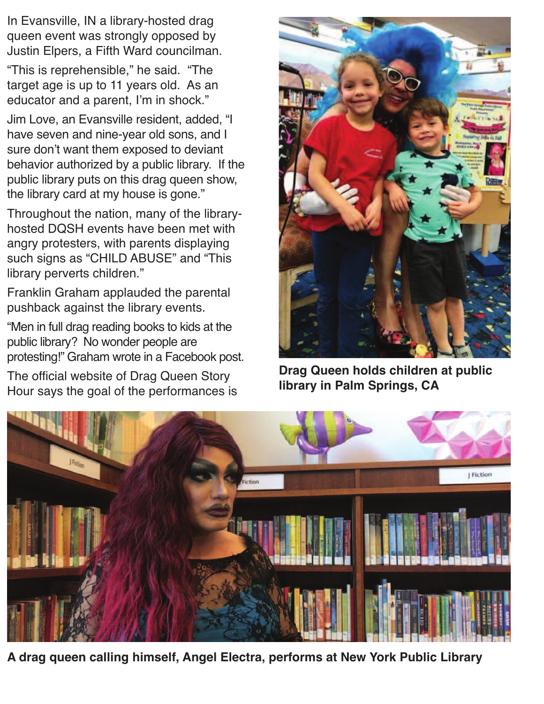In Evansville, IN a library-hosted drag queen event was strongly opposed by Justin Elpers, a Fifth Ward councilman.

"This is reprehensible," he said. "The target age is up to 11 years old. As an educator and a parent, I'm in shock."

Jim Love, an Evansville resident, added, "I have seven and nine-year old sons, and I sure don't want them exposed to deviant behavior authorized by a public library. If the public library puts on this drag queen show, the library card at my house is gone."

Throughout the nation, many of the libraryhosted DQSH events have been met with angry protesters, with parents displaying such signs as "CHILD ABUSE" and "This library perverts children."

Franklin Graham applauded the parental pushback against the library events.

"Men in full drag reading books to kids at the public library? No wonder people are protesting!" Graham wrote in a Facebook post.

The official website of Drag Queen Story Hour says the goal of the performances is



**Drag Queen holds children at public library in Palm Springs, CA**



**A drag queen calling himself, Angel Electra, performs at New York Public Library**